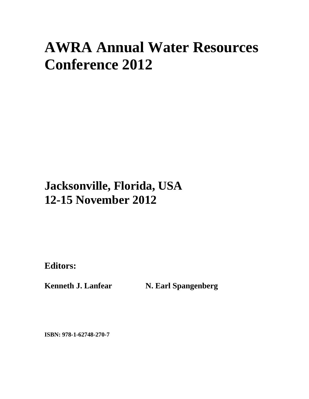# **AWRA Annual Water Resources Conference 2012**

## **Jacksonville, Florida, USA 12-15 November 2012**

**Editors:** 

Kenneth J. Lanfear **N. Earl Spangenberg** 

**ISBN: 978-1-62748-270-7**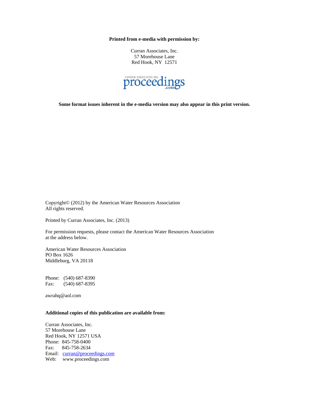**Printed from e-media with permission by:** 

Curran Associates, Inc. 57 Morehouse Lane Red Hook, NY 12571



**Some format issues inherent in the e-media version may also appear in this print version.** 

Copyright© (2012) by the American Water Resources Association All rights reserved.

Printed by Curran Associates, Inc. (2013)

For permission requests, please contact the American Water Resources Association at the address below.

American Water Resources Association PO Box 1626 Middleburg, VA 20118

Phone: (540) 687-8390 Fax: (540) 687-8395

awrahq@aol.com

## **Additional copies of this publication are available from:**

Curran Associates, Inc. 57 Morehouse Lane Red Hook, NY 12571 USA Phone: 845-758-0400 Fax: 845-758-2634 Email: curran@proceedings.com Web: www.proceedings.com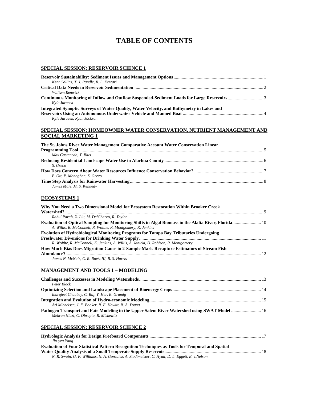## **TABLE OF CONTENTS**

#### **SPECIAL SESSION: RESERVOIR SCIENCE 1**

| Kent Collins, T. J. Randle, R. L. Ferrari                                                 |  |
|-------------------------------------------------------------------------------------------|--|
|                                                                                           |  |
| William Renwick                                                                           |  |
| Kyle Juracek                                                                              |  |
| Integrated Synoptic Surveys of Water Quality, Water Velocity, and Bathymetry in Lakes and |  |
|                                                                                           |  |
| Kyle Juracek, Ryan Jackson                                                                |  |

#### **SPECIAL SESSION: HOMEOWNER WATER CONSERVATION, NUTRIENT MANAGEMENT AND SOCIAL MARKETING 1**

| The St. Johns River Water Management Comparative Account Water Conservation Linear |  |
|------------------------------------------------------------------------------------|--|
|                                                                                    |  |
| Max Castaneda, T. Blus                                                             |  |
|                                                                                    |  |
| S. Greco                                                                           |  |
|                                                                                    |  |
| E. Ott, P. Monaghan, S. Greco                                                      |  |
|                                                                                    |  |
| James Male, M. S. Kennedy                                                          |  |
|                                                                                    |  |

## **ECOSYSTEMS 1**

| Why You Need a Two Dimensional Model for Ecosystem Restoration Within Brooker Creek          |  |
|----------------------------------------------------------------------------------------------|--|
|                                                                                              |  |
| Rahul Parab, X. Liu, M. DelCharco, R. Taylor                                                 |  |
|                                                                                              |  |
| A. Willis, R. McConnell, R. Woithe, R. Montgomery, K. Jenkins                                |  |
| <b>Evolution of Hydrobiological Monitoring Programs for Tampa Bay Tributaries Undergoing</b> |  |
|                                                                                              |  |
| R. Woithe, R. McConnell, K. Jenkins, A. Willis, A. Janicki, D. Robison, R. Montgomery        |  |
| How Much Bias Does Migration Cause in 2-Sample Mark-Recapture Estimators of Stream Fish      |  |
|                                                                                              |  |
| James N. McNair, C. R. Ruetz III, B. S. Harris                                               |  |

#### **MANAGEMENT AND TOOLS 1 – MODELING**

| Peter Black                                                                                  |  |
|----------------------------------------------------------------------------------------------|--|
|                                                                                              |  |
| Indrajeet Chaubey, C. Raj, Y. Her, B. Gramig                                                 |  |
|                                                                                              |  |
| Ari Michelsen, J. F. Booker, R. E. Howitt, R. A. Young                                       |  |
| Pathogen Transport and Fate Modeling in the Upper Salem River Watershed using SWAT Model  16 |  |
| Mehran Niazi, C. Obropta, R. Miskewitz                                                       |  |
|                                                                                              |  |

## **SPECIAL SESSION: RESERVOIR SCIENCE 2**

| Jin-vea Yang                                                                                           |  |
|--------------------------------------------------------------------------------------------------------|--|
| <b>Evaluation of Four Statistical Pattern Recognition Techniques as Tools for Temporal and Spatial</b> |  |
|                                                                                                        |  |
| N. R. Swain, G. P. Williams, N. A. Gonzalez, A. Stodtmeister, C. Hyatt, D. L. Eggett, E. J.Nelson      |  |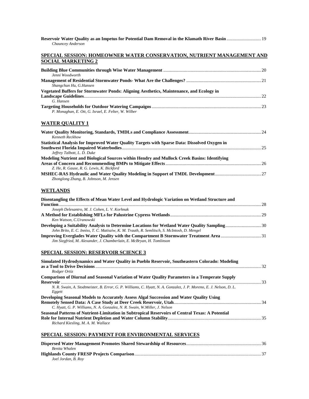| Reservoir Water Quality as an Impetus for Potential Dam Removal in the Klamath River Basin  19<br>Chauncey Anderson                                                    |  |
|------------------------------------------------------------------------------------------------------------------------------------------------------------------------|--|
| <u>SPECIAL SESSION: HOMEOWNER WATER CONSERVATION, NUTRIENT MANAGEMENT AND</u><br><b>SOCIAL MARKETING 2</b>                                                             |  |
|                                                                                                                                                                        |  |
| Jenni Woodworth<br>Shangchun Hu, G.Hansen                                                                                                                              |  |
| Vegetated Buffers for Stormwater Ponds: Aligning Aesthetics, Maintenance, and Ecology in                                                                               |  |
| G. Hansen<br>P. Monaghan, E. Ott, G. Israel, E. Felter, W. Wilber                                                                                                      |  |
| <u>WATER QUALITY 1</u>                                                                                                                                                 |  |
| Kenneth Reckhow                                                                                                                                                        |  |
| Statistical Analysis for Improved Water Quality Targets with Sparse Data: Dissolved Oxygen in<br>Jeffrey Talbott, L. D. Duke                                           |  |
| Modeling Nutrient and Biological Sources within Hendry and Mullock Creek Basins: Identifying                                                                           |  |
| Z. He, R. Gause, R. G. Lewis, K. Bickford<br>Zhonglong Zhang, B. Johnson, M. Jensen                                                                                    |  |
| WETLANDS                                                                                                                                                               |  |
| Disentangling the Effects of Mean Water Level and Hydrologic Variation on Wetland Structure and                                                                        |  |
| Joseph Delesantro, M. J. Cohen, L. V. Korhnak<br>Ken Watson, C.Uranowski                                                                                               |  |
| John Brito, E. C. Inniss, T. C. Matisziw, K. M. Trauth, R. Semlitsch, S. McIntosh, D. Mengel                                                                           |  |
| <b>Improving Everglades Water Quality with the Compartment B Stormwater Treatment Area 31</b><br>Jim Siegfried, M. Alexander, J. Chamberlain, E. McBryan, H. Tomlinson |  |
| SPECIAL SESSION: RESERVOIR SCIENCE 3                                                                                                                                   |  |
| Simulated Hydrodynamics and Water Quality in Pueblo Reservoir, Southeastern Colorado: Modeling                                                                         |  |
| Rodger Ortiz<br>Comparison of Diurnal and Seasonal Variation of Water Quality Parameters in a Temperate Supply                                                         |  |
| N. R. Swain, A. Stodtmeister, B. Error, G. P. Williams, C. Hyatt, N. A. Gonzalez, J. P. Moreno, E. J. Nelson, D. L.<br>Eggett                                          |  |
| Developing Seasonal Models to Accurately Assess Algal Succession and Water Quality Using<br>C. Hyatt, G. P. Williams, N. A. Gonzalez, N. R. Swain, W.Miller, J. Nelson |  |
| Seasonal Patterns of Nutrient-Limitation in Subtropical Reservoirs of Central Texas: A Potential<br>Richard Kiesling, M. A. M. Wallace                                 |  |
| <u>SPECIAL SESSION: PAYMENT FOR ENVIRONMENTAL SERVICES</u>                                                                                                             |  |
| Benita Whalen                                                                                                                                                          |  |
| Joel Jordan, B. Roy                                                                                                                                                    |  |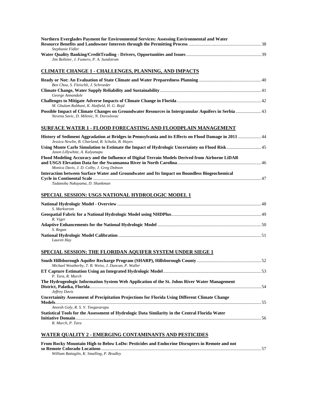| Northern Everglades Payment for Environmental Services: Assessing Environmental and Water                                                                   |
|-------------------------------------------------------------------------------------------------------------------------------------------------------------|
|                                                                                                                                                             |
| Stephanie Fidler                                                                                                                                            |
|                                                                                                                                                             |
| Jim Bolleter, J. Fumero, P. A. Sundstrom                                                                                                                    |
| <b>CLIMATE CHANGE 1 - CHALLENGES, PLANNING, AND IMPACTS</b>                                                                                                 |
| Ben Chou, S. Fleischli, J. Schroeder                                                                                                                        |
|                                                                                                                                                             |
| George Annandale                                                                                                                                            |
| M. Ghulam Rabbani, K. Hatfield, H. G. Bojd                                                                                                                  |
| Possible Impact of Climate Changes on Groundwater Resources in Intergranular Aquifers in Serbia  43<br>Nevena Savic, D. Milenic, N. Doroslovac              |
| SURFACE WATER 1 - FLOOD FORECASTING AND FLOODPLAIN MANAGEMENT                                                                                               |
| History of Sediment Aggradation at Bridges in Pennsylvania and its Effects on Flood Damage in 2011  44<br>Jessica Newlin, B. Charland, B. Schultz, B. Hayes |
| Using Monte Carlo Simulation to Estimate the Impact of Hydrologic Uncertainty on Flood Risk 45<br>Jason Lillywhite, A. Kalyanapu                            |

| Flood Modeling Accuracy and the Influence of Digital Terrain Models Derived from Airborne LiDAR |  |
|-------------------------------------------------------------------------------------------------|--|
|                                                                                                 |  |
| Monica Davis, J. D. Colby, J. Greg Dobson                                                       |  |
| Interaction between Surface Water and Groundwater and Its Impact on Boundless Biogeochemical    |  |
|                                                                                                 |  |
| $\pi$ i $\pi$ i $\pi$ i $\pi$                                                                   |  |

#### *Tadanobu Nakayama, D. Shankman*

## **SPECIAL SESSION: USGS NATIONAL HYDROLOGIC MODEL 1**

| S. Markstrom |  |
|--------------|--|
|              |  |
| R. Viger     |  |
|              |  |
| S. Regan     |  |
|              |  |
| Lauren Hav   |  |

## **SPECIAL SESSION: THE FLORIDAN AQUIFER SYSTEM UNDER SIEGE 1**

| Michael Weatherby, T. B. Weiss, J. Duncan, P. Waller                                            |  |
|-------------------------------------------------------------------------------------------------|--|
|                                                                                                 |  |
| P. Tara, R. Murch                                                                               |  |
| The Hydrogeologic Information System Web Application of the St. Johns River Water Management    |  |
|                                                                                                 |  |
| Jeffrey Davis                                                                                   |  |
| Uncertainity Assessment of Precipitation Projections for Florida Using Different Climate Change |  |
|                                                                                                 |  |
| Aneesh Goly, R. S. V. Teegavarapu                                                               |  |
| Statistical Tools for the Assessment of Hydrologic Data Similarity in the Central Florida Water |  |
| Initiative Domain                                                                               |  |
| R. Murch. P. Tara                                                                               |  |

## **WATER QUALITY 2 - EMERGING CONTAMINANTS AND PESTICIDES**

| From Rocky Mountain High to Below LoDo: Pesticides and Endocrine Disrupters in Remote and not |  |
|-----------------------------------------------------------------------------------------------|--|
|                                                                                               |  |
| William Battaglin, K. Smalling, P. Bradley                                                    |  |
|                                                                                               |  |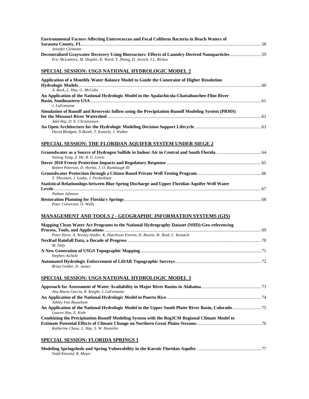| <b>Environmental Factors Affecting Enterococcus and Fecal Coliform Bacteria in Beach Waters of</b><br>Jennifer Clemente                                                |  |
|------------------------------------------------------------------------------------------------------------------------------------------------------------------------|--|
| Decentralized Graywater Recovery Using Bioreactors: Effects of Laundry-Derived Nanoparticles59<br>Eric McLamore, M. Shupler, K. Ward, Y. Zhang, D. Jaroch, J.L. Rickus |  |
| SPECIAL SESSION: USGS NATIONAL HYDROLOGIC MODEL 2                                                                                                                      |  |
| Application of a Monthly Water Balance Model to Guide the Constraint of Higher Resolution<br>A. Bock, L. Hay, G. McCabe                                                |  |
| An Application of the National Hydrologic Model in the Apalachicola-Chattahoochee-Flint River<br>J. LaFontaine                                                         |  |
| Simulation of Runoff and Reservoir Inflow using the Precipitation-Runoff Modeling System (PRMS)<br>Adel Haj, D. E. Christiansen                                        |  |
| David Blodgett, N.Booth, T. Kunicki, J. Walker                                                                                                                         |  |
| <b>SPECIAL SESSION: THE FLORIDAN AQUIFER SYSTEM UNDER SIEGE 2</b>                                                                                                      |  |
| Yaning Yang, Z. He, R. G. Lewis                                                                                                                                        |  |
| Robert Peterson, D. Herbst, J. O. Rumbaugh III                                                                                                                         |  |
| T. Thornton, J. Leahy, J. Peckenham                                                                                                                                    |  |
| Statistical Relationships between Blue Spring Discharge and Upper Floridan Aquifer Well Water                                                                          |  |
| Nathan Johnson<br>Peter Colverson, O. Wells                                                                                                                            |  |
| <b>MANAGEMENT AND TOOLS 2 - GEOGRAPHIC INFORMATION SYSTEMS (GIS)</b>                                                                                                   |  |
| Mapping Clean Water Act Programs to the National Hydrography Dataset (NHD): Geo-referencing                                                                            |  |
| Peter Ilieve, A. Wesley-Snider, K. Hutchison Everett, D. Boezio, W. Reid, C. Kovatch                                                                                   |  |
| M. Daly                                                                                                                                                                |  |
| Stephen Aichele<br>Brian Gelder, D. James                                                                                                                              |  |
| SPECIAL SESSION: USGS NATIONAL HYDROLOGIC MODEL 3                                                                                                                      |  |
| Ana Maria Garcia, R. Knight, J. LaFontaine                                                                                                                             |  |
| Ashley Van Beusekom                                                                                                                                                    |  |
| Lauren Hay, E. Kuhr                                                                                                                                                    |  |
| Combining the Precipitation-Runoff Modeling System with the Reg3CM Regional Climate Model to<br>Katherine Chase, L. Hay, S. W. Hostetler                               |  |
| <b>SPECIAL SESSION: FLORIDA SPRINGS 1</b>                                                                                                                              |  |
| Todd Kincaid, B. Meyer                                                                                                                                                 |  |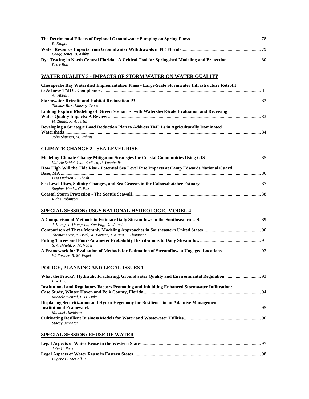| R. Knight<br>Gregg Jones, B. Ashby                                                                                             |  |
|--------------------------------------------------------------------------------------------------------------------------------|--|
| Peter Butt                                                                                                                     |  |
| WATER QUALITY 3 - IMPACTS OF STORM WATER ON WATER QUALITY                                                                      |  |
| Chesapeake Bay Watershed Implementation Plans - Large-Scale Stormwater Infrastructure Retrofit<br>Ali Abbasi                   |  |
| Thomas Ries, Lindsay Cross                                                                                                     |  |
| Linking Explicit Modeling of 'Green Scenarios' with Watershed-Scale Evaluation and Receiving<br>H. Zhang, K. Albertin          |  |
| Developing a Strategic Load Reduction Plan to Address TMDLs in Agriculturally Dominated<br>John Shuman, M. Rahnis              |  |
| <b>CLIMATE CHANGE 2 - SEA LEVEL RISE</b>                                                                                       |  |
| Valerie Seidel, C.de Bodisco, P. Yacobellis                                                                                    |  |
| How High Will the Tide Rise - Potential Sea Level Rise Impacts at Camp Edwards National Guard<br>Lisa Dickson, I. Ghosh        |  |
|                                                                                                                                |  |
| Stephen Hanks, C. Fitz<br>Ridge Robinson                                                                                       |  |
| SPECIAL SESSION: USGS NATIONAL HYDROLOGIC MODEL 4                                                                              |  |
| J. Kiang, J. Thompson, Ken Eng, D. Wolock                                                                                      |  |
| Thomas Over, A. Bock, W. Farmer, J. Kiang, J. Thompson                                                                         |  |
| S. Archfield, R. M. Vogel                                                                                                      |  |
| W. Farmer, R. M. Vogel                                                                                                         |  |
| <u>POLICY, PLANNING AND LEGAL ISSUES 1</u>                                                                                     |  |
| Eric Fitch                                                                                                                     |  |
| Institutional and Regulatory Factors Promoting and Inhibiting Enhanced Stormwater Infiltration:<br>Michele Weitzel, L. D. Duke |  |
| Displacing Securitization and Hydro-Hegemony for Resilience in an Adaptive Management                                          |  |
| Michael Davidson<br>Stacey Berahzer                                                                                            |  |
| <u>SPECIAL SESSION: REUSE OF WATER</u>                                                                                         |  |
| John C. Peck                                                                                                                   |  |
| Eugene C. McCall Jr.                                                                                                           |  |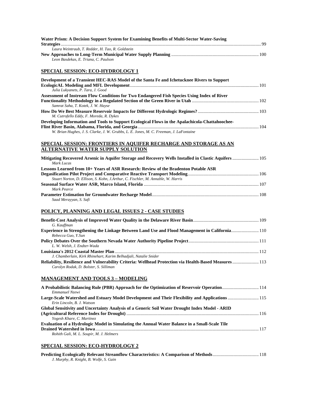| Water Prism: A Decision Support System for Examining Benefits of Multi-Sector Water-Saving                                                                              |  |
|-------------------------------------------------------------------------------------------------------------------------------------------------------------------------|--|
| Laura Weintraub, T. Redder, H. Tao, R. Goldstein                                                                                                                        |  |
| Leon Basdekas, E. Triana, C. Paulson                                                                                                                                    |  |
| <b>SPECIAL SESSION: ECO-HYDROLOGY 1</b>                                                                                                                                 |  |
| Development of a Transient HEC-RAS Model of the Santa Fe and Ichetucknee Rivers to Support<br>Julia Lukyanets, P. Tara, J. Good                                         |  |
| Assessment of Instream Flow Conditions for Two Endangered Fish Species Using Index of River<br>Samrat Saha, T. Kotek, J. W. Hayse                                       |  |
| M. Cutrofello Eddy, F. Moreda, R. Dykes                                                                                                                                 |  |
| Developing Information and Tools to Support Ecological Flows in the Apalachicola-Chattahoochee-                                                                         |  |
| W. Brian Hughes, J. S. Clarke, J. W. Grubbs, L. E. Jones, M. C. Freeman, J. LaFontaine                                                                                  |  |
| <u>SPECIAL SESSION: FRONTIERS IN AQUIFER RECHARGE AND STORAGE AS AN</u><br><b>ALTERNATIVE WATER SUPPLY SOLUTION</b>                                                     |  |
|                                                                                                                                                                         |  |
| Mitigating Recovered Arsenic in Aquifer Storage and Recovery Wells Installed in Clastic Aquifers  105<br>Mark Lucas                                                     |  |
| Lessons Learned from 10+ Years of ASR Research: Review of the Bradenton Potable ASR<br>Stuart Norton, D. Ellison, S. Kohn, J.Arthur, C. Fischler, M. Annable, W. Harris |  |
| <b>Mark Pearce</b>                                                                                                                                                      |  |
| Saad Merayyan, S. Safi                                                                                                                                                  |  |
| POLICY, PLANNING AND LEGAL ISSUES 2 - CASE STUDIES                                                                                                                      |  |
| G. Kauffman                                                                                                                                                             |  |
| Experience in Strengthening the Linkage Between Land Use and Flood Management in California110<br>Rebecca Guo, Y.Sun                                                    |  |
| L. W. Welsh, J. Endter-Wada                                                                                                                                             |  |
| J. Chamberlain, Kirk Rhinehart, Karim Belhadjali, Natalie Snider                                                                                                        |  |
| Reliability, Resilience and Vulnerability Criteria: Wellhead Protection via Health-Based Measures  113<br>Carolyn Rodak, D. Bolster, S. Silliman                        |  |
| <b>MANAGEMENT AND TOOLS 3 - MODELING</b>                                                                                                                                |  |
| A Probabilistic Balancing Rule (PBR) Approach for the Optimization of Reservoir Operation114<br>Emmanuel Nzewi                                                          |  |
| Large-Scale Watershed and Estuary Model Development and Their Flexibility and Applications  115<br>Erin Lincoln, B. J. Watson                                           |  |
| Global Sensitivity and Uncertainty Analysis of a Generic Soil Water Drought Index Model - ARID<br>Yogesh Khare, C. Martinez                                             |  |
| Evaluation of a Hydrologic Model in Simulating the Annual Water Balance in a Small-Scale Tile                                                                           |  |
| Rohith Gali, M. L. Soupir, M. J. Helmers                                                                                                                                |  |

## **SPECIAL SESSION: ECO-HYDROLOGY 2**

| J. Murphy, R. Knight, B. Wolfe, S. Gain |  |  |
|-----------------------------------------|--|--|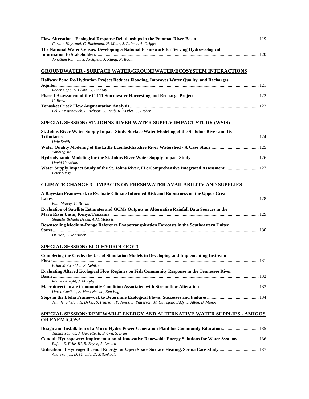| Carlton Haywood, C. Buchanan, H. Moltz, J. Palmer, A. Griggs                           |  |
|----------------------------------------------------------------------------------------|--|
| The National Water Census: Developing a National Framework for Serving Hydroecological |  |
|                                                                                        |  |
| Jonathan Kennen, S. Archfield, J. Kiang, N. Booth                                      |  |

## **GROUNDWATER - SURFACE WATER/GROUNDWATER/ECOSYSTEM INTERACTIONS**

| Halfway Pond Re-Hydration Project Reduces Flooding, Improves Water Quality, and Recharges |  |
|-------------------------------------------------------------------------------------------|--|
|                                                                                           |  |
| Roger Copp, L. Flynn, D. Lindsay                                                          |  |
|                                                                                           |  |
| C. Brown                                                                                  |  |
|                                                                                           |  |
| Felix Kristanovich, F. Achour, G. Reub, K. Kistler, C. Fisher                             |  |

## **SPECIAL SESSION: ST. JOHNS RIVER WATER SUPPLY IMPACT STUDY (WSIS)**

| St. Johns River Water Supply Impact Study Surface Water Modeling of the St Johns River and Its |  |
|------------------------------------------------------------------------------------------------|--|
|                                                                                                |  |
| Dale Smith                                                                                     |  |
| Yanbing Jia                                                                                    |  |
|                                                                                                |  |
| David Christian                                                                                |  |
|                                                                                                |  |
| Peter Sucsy                                                                                    |  |

#### **CLIMATE CHANGE 3 - IMPACTS ON FRESHWATER AVAILABILITY AND SUPPLIES**

| A Bayesian Framework to Evaluate Climate Informed Risk and Robustness on the Upper Great       |  |
|------------------------------------------------------------------------------------------------|--|
|                                                                                                |  |
| Paul Moody, C. Brown                                                                           |  |
| Evaluation of Satellite Estimates and GCMs Outputs as Alternative Rainfall Data Sources in the |  |
|                                                                                                |  |
| Shimelis Behailu Dessu, A.M. Melesse                                                           |  |
| Downscaling Medium-Range Reference Evapotranspiration Forecasts in the Southeastern United     |  |
|                                                                                                |  |
| Di Tian. C. Martinez                                                                           |  |

## **SPECIAL SESSION: ECO-HYDROLOGY 3**

| Completing the Circle, the Use of Simulation Models in Developing and Implementing Instream            |  |
|--------------------------------------------------------------------------------------------------------|--|
|                                                                                                        |  |
| Brian McCrodden, S. Nebiker                                                                            |  |
| Evaluating Altered Ecological Flow Regimes on Fish Community Response in the Tennessee River           |  |
|                                                                                                        |  |
| Rodney Knight, J. Murphy                                                                               |  |
|                                                                                                        |  |
| Daren Carlisle, S. Mark Nelson, Ken Eng                                                                |  |
|                                                                                                        |  |
| Jennifer Phelan, R. Dykes, S. Pearsall, P. Jones, L. Patterson, M. Cutrofello Eddy, J. Allen, B. Munoz |  |

## **SPECIAL SESSION: RENEWABLE ENERGY AND ALTERNATIVE WATER SUPPLIES - AMIGOS OR ENEMIGOS?**

| Tamim Younos, J. Garrette, E. Brown, S. Lyles                                                      |  |
|----------------------------------------------------------------------------------------------------|--|
| Conduit Hydropower: Implementation of Innovative Renewable Energy Solutions for Water Systems  136 |  |
| Rafael E. Frias III, R. Boyce, A. Lazaro                                                           |  |
|                                                                                                    |  |
| Ana Vranjes, D. Milenic, D. Milankovic                                                             |  |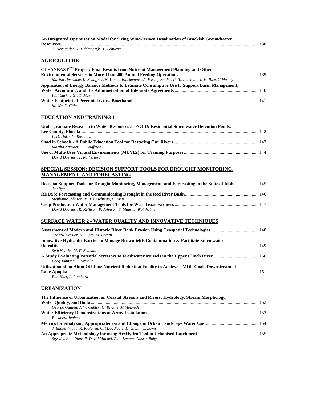| An Integrated Optimization Model for Sizing Wind-Driven Desalination of Brackish Groundwater                                                                                                                |  |
|-------------------------------------------------------------------------------------------------------------------------------------------------------------------------------------------------------------|--|
| A. Hernandez, V. Uddameri, k, B. Schuetze                                                                                                                                                                   |  |
| <b>AGRICULTURE</b>                                                                                                                                                                                          |  |
| CLEANEAST <sup>TM</sup> Project: Final Results from Nutrient Management Planning and Other                                                                                                                  |  |
|                                                                                                                                                                                                             |  |
| Marion Deerhake, K. Schaffner, N. Ubaka-Blackmoore, A. Wesley-Snider, P. R Peterson, J. M. Rice, C.Mosley<br>Application of Energy Balance Methods to Estimate Consumptive Use to Support Basin Management, |  |
| Phil Burkhalter, T. Martin                                                                                                                                                                                  |  |
| M. Wu, Y. Chiu                                                                                                                                                                                              |  |
| <b>EDUCATION AND TRAINING 1</b>                                                                                                                                                                             |  |
| Undergraduate Research in Water Resources at FGCU: Residential Stormwater Detention Ponds,                                                                                                                  |  |
| L. D. Duke, G. Rosenaw                                                                                                                                                                                      |  |
| Martha Narvaez, G. Kauffman                                                                                                                                                                                 |  |
| David Doerfert, T. Rutherford                                                                                                                                                                               |  |
| SPECIAL SESSION: DECISION SUPPORT TOOLS FOR DROUGHT MONITORING,<br><b>MANAGEMENT, AND FORECASTING</b>                                                                                                       |  |
| Decision Support Tools for Drought Monitoring, Management, and Forecasting in the State of Idaho 145<br>Jae Ryu                                                                                             |  |
| Stephanie Johnson, M. Deutschman, C. Fritz                                                                                                                                                                  |  |
| David Doerfert, R. Kellison, P. Johnson, S. Maas, J. Weinheimer                                                                                                                                             |  |
| <b>SURFACE WATER 2 - WATER QUALITY AND INNOVATIVE TECHNIQUES</b>                                                                                                                                            |  |
| Andrew Kessler, S. Gupta, M. Brown                                                                                                                                                                          |  |
| Innovative Hydraulic Barrier to Manage Brownfields Contamination & Facilitate Stormwater                                                                                                                    |  |
| Seth Nehrke, M. F. Schmidt                                                                                                                                                                                  |  |
| A Study Evaluating Potential Stressors to Freshwater Mussels in the Upper Clinch River  150<br>Greg Johnson, J. Krstolic                                                                                    |  |
| Utilization of an Alum Off-Line Nutrient Reduction Facility to Achieve TMDL Goals Downstream of                                                                                                             |  |
| Ron Hart, L. Lumbard                                                                                                                                                                                        |  |
| <b>URBANIZATION</b>                                                                                                                                                                                         |  |
| The Influence of Urbanization on Coastal Streams and Rivers: Hydrology, Stream Morphology,                                                                                                                  |  |
| George Guillen, J. W. Oakley, G. Knothe, M.Mokrech                                                                                                                                                          |  |
| Elisabeth Jenicek                                                                                                                                                                                           |  |
| J. Endter-Wada, R. Kjelgren, C. M.U. Neale, D. Glenn, C. Lewis                                                                                                                                              |  |
| Seyedhossein Pourali, David Mitchel, Paul Lennox, Nasrin Baby                                                                                                                                               |  |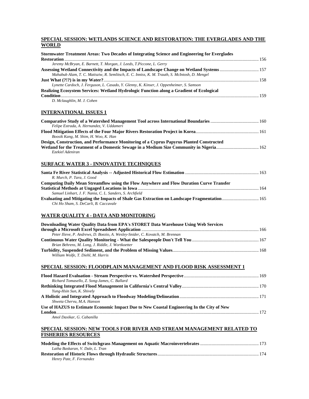## **SPECIAL SESSION: WETLANDS SCIENCE AND RESTORATION: THE EVERGLADES AND THE WORLD**

| Stormwater Treatment Areas: Two Decades of Integrating Science and Engineering for Everglades                                                                                                |  |
|----------------------------------------------------------------------------------------------------------------------------------------------------------------------------------------------|--|
|                                                                                                                                                                                              |  |
| Jeremy McBryan, E. Barnett, T. Morgan, J. Leeds, T. Piccone, L. Gerry                                                                                                                        |  |
| Assessing Wetland Connectivity and the Impacts of Landscape Change on Wetland Systems  157<br>Mahabub Alam, T. C. Matisziw, R. Semlitsch, E. C. Inniss, K. M. Trauth, S. McIntosh, D. Mengel |  |
|                                                                                                                                                                                              |  |
| Lynette Cardoch, J. Ferguson, L. Casado, Y. Glenny, K. Kinser, J. Oppenheimer, S. Samson                                                                                                     |  |
| Realizing Ecosystem Services: Wetland Hydrologic Function along a Gradient of Ecological                                                                                                     |  |
|                                                                                                                                                                                              |  |
| D. Mclaughlin, M. J. Cohen                                                                                                                                                                   |  |
| <u>INTERNATIONAL ISSUES 1</u>                                                                                                                                                                |  |
|                                                                                                                                                                                              |  |
| Felipe Estrada, A. Hernandez, V. Uddameri                                                                                                                                                    |  |
| Boosik Kang, M. Shim, H. Woo, K. Han                                                                                                                                                         |  |
| Design, Construction, and Performance Monitoring of a Cyprus Papyrus Planted Constructed                                                                                                     |  |
|                                                                                                                                                                                              |  |
| Ezekiel Adeniran                                                                                                                                                                             |  |
|                                                                                                                                                                                              |  |
| <u>SURFACE WATER 3 - INNOVATIVE TECHNIQUES</u>                                                                                                                                               |  |
| R. Murch, P. Tara, J. Good                                                                                                                                                                   |  |
| Computing Daily Mean Streamflow using the Flow Anywhere and Flow Duration Curve Transfer                                                                                                     |  |
| Samuel Linhart, J. F. Nania, C. L. Sanders, S. Archfield                                                                                                                                     |  |
| Evaluating and Mitigating the Impacts of Shale Gas Extraction on Landscape Fragmentation 165                                                                                                 |  |
| Chi Ho Sham, S. DeCarli, B. Caccavale                                                                                                                                                        |  |
| WATER QUALITY 4 - DATA AND MONITORING                                                                                                                                                        |  |
| Downloading Water Quality Data from EPA's STORET Data Warehouse Using Web Services                                                                                                           |  |
|                                                                                                                                                                                              |  |
| Peter Ilieve, P. Andrews, D. Boezio, A. Wesley-Snider, C. Kovatch, M. Brennan                                                                                                                |  |
| Brian Behrens, M. Long, J. Riddle, J. Wortkoetter                                                                                                                                            |  |
|                                                                                                                                                                                              |  |
| William Wolfe, T. Diehl, M. Harris                                                                                                                                                           |  |
| <u>SPECIAL SESSION: FLOODPLAIN MANAGEMENT AND FLOOD RISK ASSESSMENT 1</u>                                                                                                                    |  |
|                                                                                                                                                                                              |  |
| Richard Tomasello, Z. Song-James, C. Ballard                                                                                                                                                 |  |
| Yung-Hsin Sun, K. Shively                                                                                                                                                                    |  |
|                                                                                                                                                                                              |  |
| Shweta Chervu, M.A. Hanson                                                                                                                                                                   |  |
| Use of HAZUS to Estimate Economic Impact Due to New Coastal Engineering In the City of New                                                                                                   |  |
| Amol Daxikar, G. Cabanilla                                                                                                                                                                   |  |
|                                                                                                                                                                                              |  |

## **SPECIAL SESSION: NEW TOOLS FOR RIVER AND STREAM MANAGEMENT RELATED TO FISHERIES RESOURCES**

| Latha Baskaran, V. Dale, L. Tran |  |
|----------------------------------|--|
|                                  |  |
| Henry Pate, F. Fernandez         |  |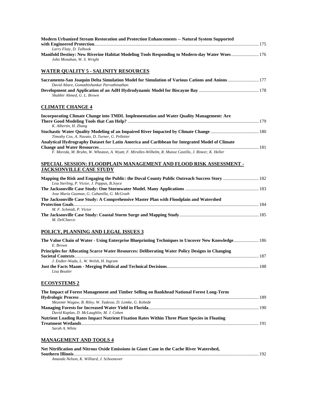| <b>Modern Urbanized Stream Restoration and Protection Enhancements -- Natural System Supported</b>                                                    |  |
|-------------------------------------------------------------------------------------------------------------------------------------------------------|--|
| Larry Fluty, D. Talhook<br>Manifold Destiny: New Riverine Habitat Modeling Tools Responding to Modern-day Water Woes176<br>John Monahan, W. S. Wright |  |
| <b>WATER QUALITY 5 - SALINITY RESOURCES</b>                                                                                                           |  |
| Sacramento-San Joaquin Delta Simulation Model for Simulation of Various Cations and Anions  177<br>David Altare, Gomathishankar Parvathinathan        |  |
| Shabbir Ahmed, G. L. Brown                                                                                                                            |  |
| <b>CLIMATE CHANGE 4</b>                                                                                                                               |  |
| <b>Incorporating Climate Change into TMDL Implementation and Water Quality Management: Are</b><br>K. Albertin, H. Zhang                               |  |
| Timothy Cox, A. Navato, D. Turner, G. Pelletier                                                                                                       |  |
| Analytical Hydrography Dataset for Latin America and Caribbean for Integrated Model of Climate                                                        |  |
| F. Moreda, M. Bruhn, W. Wheaton, A. Wyatt, F. Miralles-Wilhelm, R. Munoz Castillo, J. Rineer, K. Heller                                               |  |
| SPECIAL SESSION: FLOODPLAIN MANAGEMENT AND FLOOD RISK ASSESSMENT -<br><b>JACKSONVILLE CASE STUDY</b>                                                  |  |
| Lisa Sterling, P. Victor, J. Pappas, B.Joyce                                                                                                          |  |
| Jose Maria Guzman, G. Cabanilla, G. McGrath                                                                                                           |  |
| The Jacksonville Case Study: A Comprehensive Master Plan with Floodplain and Watershed                                                                |  |
| M. F. Schmidt, P. Victor<br>M. DelCharco                                                                                                              |  |
| POLICY, PLANNING AND LEGAL ISSUES 3                                                                                                                   |  |
| 186  186  The Value Chain of Water - Using Enterprise Blueprinting Techniques to Uncover New Knowledge 186<br>E. Brown                                |  |
| Principles for Allocating Scarce Water Resources: Deliberating Water Policy Designs in Changing                                                       |  |
| J. Endter-Wada, L. W. Welsh, H. Ingram<br>Lisa Beutler                                                                                                |  |
| <b>ECOSYSTEMS 2</b>                                                                                                                                   |  |
| The Impact of Forest Management and Timber Selling on Bankhead National Forest Long-Term                                                              |  |
| Mezemir Wagaw, B. Riley, W. Tadesse, D. Lemke, G. Kebede<br>David Kaplan, D. McLaughlin, M. J. Cohen                                                  |  |
| Nutrient Loading Rates Impact Nutrient Fixation Rates Within Three Plant Species in Floating<br>Sarah A. White                                        |  |
| <b>MANAGEMENT AND TOOLS 4</b>                                                                                                                         |  |
| Net Nitrification and Nitrous Oxide Emissions in Giant Cane in the Cache River Watershed,                                                             |  |
| Amanda Nelson, K. Williard, J. Schoonover                                                                                                             |  |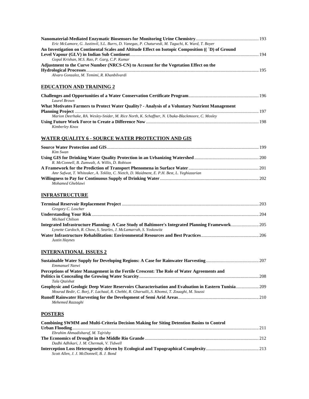| Eric McLamore, G. Justinvil, S.L. Burrs, D. Vanegas, P. Chaturvedi, M. Taguchi, K. Ward, T. Boyer |  |
|---------------------------------------------------------------------------------------------------|--|
| An Investigation on Continental Scales and Altitude Effect on Isotopic Composition ((T) of Ground |  |
|                                                                                                   |  |
| Gopal Krishan, M.S. Rao, P. Garg, C.P. Kumar                                                      |  |
| Adjustment to the Curve Number (NRCS-CN) to Account for the Vegetation Effect on the              |  |
|                                                                                                   |  |
| Alvaro Gonzalez, M. Temimi, R. Khanbilvardi                                                       |  |
| <b>EDUCATION AND TRAINING 2</b>                                                                   |  |
|                                                                                                   |  |

| Laurel Brown                                                                                    |  |
|-------------------------------------------------------------------------------------------------|--|
| What Motivates Farmers to Protect Water Quality? - Analysis of a Voluntary Nutrient Management  |  |
|                                                                                                 |  |
| Marion Deerhake, RA. Wesley-Snider, M. Rice North, K. Schaffner, N. Ubaka-Blackmoore, C. Mosley |  |
|                                                                                                 |  |
| Kimberley Knox                                                                                  |  |

## **WATER QUALITY 6 - SOURCE WATER PROTECTION AND GIS**

| Kim Swan                                                                                    |  |
|---------------------------------------------------------------------------------------------|--|
|                                                                                             |  |
| R. McConnell, B. Zumwalt, A. Willis, D. Robison                                             |  |
|                                                                                             |  |
| Amr Safwat, T. Whiteaker, A. Teklitz, C. Nietch, D. Maidment, E. P.H. Best, L. Yeghiazarian |  |
|                                                                                             |  |
| Mohamed Gheblawi                                                                            |  |

## **INFRASTRUCTURE**

| Gregory C. Loscher                                                |  |
|-------------------------------------------------------------------|--|
|                                                                   |  |
| Michael Chilson                                                   |  |
|                                                                   |  |
| Lynette Cardoch, R. Chow, S. Searles, J. McLamarrah, S. Yoskowitz |  |
|                                                                   |  |
| Justin Haynes                                                     |  |

## **INTERNATIONAL ISSUES 2**

| Emmanuel Nzewi                                                                                      |  |
|-----------------------------------------------------------------------------------------------------|--|
| Perceptions of Water Management in the Fertile Crescent: The Role of Water Agreements and           |  |
|                                                                                                     |  |
| Tala Otaishat                                                                                       |  |
| Geophysic and Geologic Deep Water Reservoirs Characterisation and Evaluation in Eastern Tunisia 209 |  |
| Mourad Bedir, C. Borj, F. Lachaal, R. Chebbi, R. Gharsalli, S. Khomsi, T. Zouaghi, M. Soussi        |  |
|                                                                                                     |  |
| Mehemed Razzaghi                                                                                    |  |
|                                                                                                     |  |

## **POSTERS**

| <b>Combining SWMM and Multi-Criteria Decision Making for Siting Detention Basins to Control</b> |  |
|-------------------------------------------------------------------------------------------------|--|
|                                                                                                 |  |
| Ebrahim Ahmadisharaf, M. Tajrishy                                                               |  |
|                                                                                                 |  |
| Dadhi Adhikari, J. M. Chermak, V. Tidwell                                                       |  |
|                                                                                                 |  |
| Scott Allen, J. J. McDonnell, B. J. Bond                                                        |  |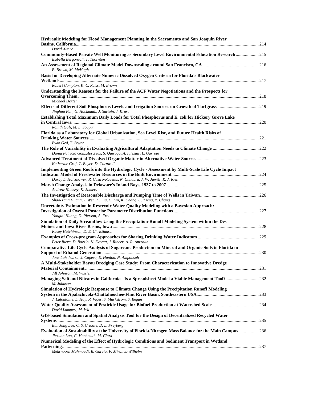| Hydraulic Modeling for Flood Management Planning in the Sacramento and San Joaquin River                                                           |  |
|----------------------------------------------------------------------------------------------------------------------------------------------------|--|
| David Altare                                                                                                                                       |  |
| Community-Based Private Well Monitoring as Secondary Level Environmental Education Research  215<br>Isabella Bergonzoli, T. Thornton               |  |
| E. Brown, M. McHugh                                                                                                                                |  |
| Basis for Developing Alternate Numeric Dissolved Oxygen Criteria for Florida's Blackwater                                                          |  |
| Robert Compton, K. C. Reiss, M. Brown                                                                                                              |  |
| Understanding the Reasons for the Failure of the ACF Water Negotiations and the Prospects for                                                      |  |
| Michael Dexter<br>Jinghua Fan, G. Hochmuth, J. Sartain, J. Kruse                                                                                   |  |
| Establishing Total Maximum Daily Loads for Total Phosphorus and E. coli for Hickory Grove Lake                                                     |  |
| Rohith Gali, M. L. Soupir                                                                                                                          |  |
| Florida as a Laboratory for Global Urbanization, Sea Level Rise, and Future Health Risks of                                                        |  |
| Evan Ged, T. Boyer                                                                                                                                 |  |
| Dunia Patricia Gonzalez Zeas, S. Quiroga, A. Iglesias, L. Garrote                                                                                  |  |
| Katherine Graf, T. Boyer, D. Cornwell                                                                                                              |  |
| Implementing Green Roofs into the Hydrologic Cycle - Assessment by Multi-Scale Life Cycle Impact                                                   |  |
| Darby L. Holtzhower, R. Castro-Ravents, N. Chhabra, J. W. Jawitz, R. J. Ries                                                                       |  |
| Andrew Homsey, K. Somers                                                                                                                           |  |
| Shao-Yang Huang, J. Wen, C. Liu, C. Lin, K. Chang, C. Tseng, Y. Chang                                                                              |  |
| Uncertainty Estimation in Reservoir Water Quality Modeling with a Bayesian Approach:<br>Yongtai Huang, D. Pierson, A. Frei                         |  |
| Simulation of Daily Streamflow Using the Precipitation-Runoff Modeling System within the Des                                                       |  |
| Kasey Hutchinson, D. E. Christiansen                                                                                                               |  |
| Peter Ilieve, D. Boezio, K. Everett, J. Rineer, A. R. Anzzolin                                                                                     |  |
| Comparative Life Cycle Analysis of Sugarcane Production on Mineral and Organic Soils in Florida in                                                 |  |
| Jose-Luis Izursa, J. Capece, E. Hanlon, N. Amponsah<br>A Multi-Stakeholder Bayou Dredging Case Study: From Characterization to Innovative Dredge   |  |
| Jill Johnson, M. Wissler                                                                                                                           |  |
| Managing Salt and Nitrates in California - Is a Spreadsheet Model a Viable Management Tool?  232<br>M. Johnson                                     |  |
| Simulation of Hydrologic Response to Climate Change Using the Precipitation Runoff Modeling                                                        |  |
| J. Lafontaine, L. Hay, R. Viger, S. Markstrom, S. Regan                                                                                            |  |
| David Lampert, M. Wu                                                                                                                               |  |
| GIS-based Simulation and Spatial Analysis Tool for the Design of Decentralized Recycled Water                                                      |  |
| Eun Jung Lee, C. S. Criddle, D. L. Freyberg                                                                                                        |  |
| Evaluation of Sustainability at the University of Florida-Nitrogen Mass Balance for the Main Campus  236<br>Jiexuan Luo, G. Hochmuth, M. Clark     |  |
| Numerical Modeling of the Effect of Hydrologic Conditions and Sediment Transport in Wetland<br>tahun saah Mahmandi, D. Cansia, E. Minallas Wilhalm |  |

*Mehrnoosh Mahmoudi, R. Garcia, F. Miralles-Wilhelm*